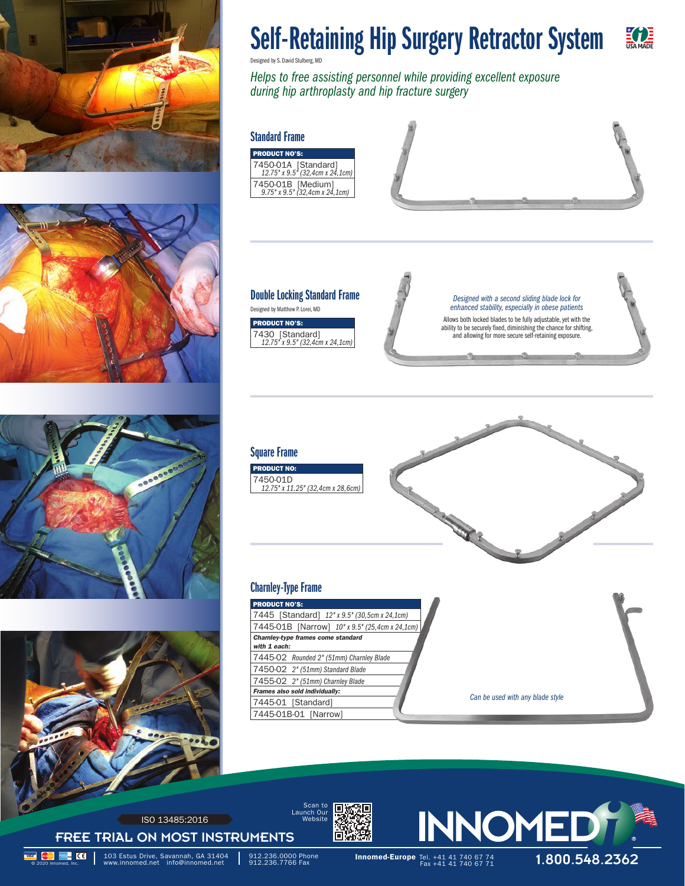







## Self-Retaining Hip Surgery Retractor System E **TE**

Designed by S. David Stulberg, MD

*Helps to free assisting personnel while providing excellent exposure during hip arthroplasty and hip fracture surgery*

#### Standard Frame

PRODUCT NO'S: 7450-01A [Standard] *12.75" x 9.5" (32,4cm x 24,1cm)* 7450-01B [Medium] *9.75" x 9.5" (32,4cm x 24,1cm)*



# Double Locking Standard Frame

ODUCT NO'S: 7430 [Standard] *12.75" x 9.5" (32,4cm x 24,1cm)*

Allows both locked blades to be fully adjustable, yet with the *Designed with a second sliding blade lock for*  Designed by Matthew P. Lorei, MD *enhanced stability, especially in obese patients*

ability to be securely fixed, diminishing the chance for shifting, and allowing for more secure self-retaining exposure.



### Charnley-Type Frame

DDUCT NO

| <b>PRODUCT NO'S:</b>                               |                                  |
|----------------------------------------------------|----------------------------------|
| 7445 [Standard] 12" x 9.5" (30,5cm x 24,1cm)       |                                  |
| 7445-01B [Narrow] 10" x 9.5" (25,4cm x 24,1cm)     |                                  |
| Charnley-type frames come standard<br>with 1 each: |                                  |
| 7445-02 Rounded 2" (51mm) Charnley Blade           |                                  |
| 7450-02 2" (51mm) Standard Blade                   |                                  |
| 7455-02 2" (51mm) Charnley Blade                   |                                  |
| Frames also sold individually:                     |                                  |
| 7445-01 [Standard]                                 | Can be used with any blade style |
| 7445-01B-01 [Narrow]                               |                                  |



FREE TRIAL ON MOST INSTRUMENTS ISO 13485:2016





**1.800. Innomed-Europe Tel. +41 41 740 67 74 103 Estus Drive, Savannah, GA 31404** 912.236.0000 Phone **Innomed-Europe** Tel. +41 41 740 67 74 **1.800.548.2362**<br>© 2020 Innomed, Inc. Noww.innomed.net info@innomed.net \$912.23 103 Estus Drive, Savannah, GA 31404<br>www.innomed.net info@innomed.net

912.236.0000 Phone<br>912.236.7766 Fax